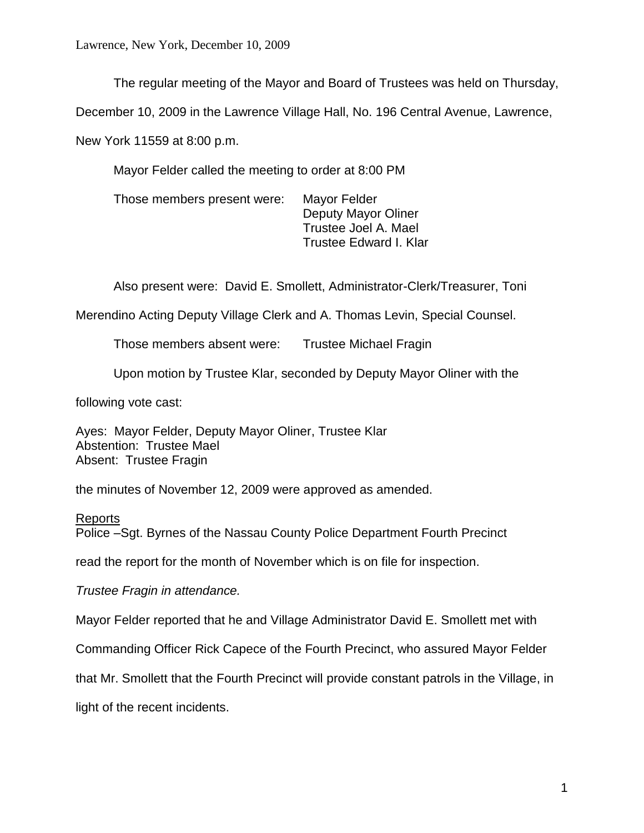Lawrence, New York, December 10, 2009

The regular meeting of the Mayor and Board of Trustees was held on Thursday,

December 10, 2009 in the Lawrence Village Hall, No. 196 Central Avenue, Lawrence,

New York 11559 at 8:00 p.m.

Mayor Felder called the meeting to order at 8:00 PM

Those members present were: Mayor Felder Deputy Mayor Oliner Trustee Joel A. Mael Trustee Edward I. Klar

Also present were: David E. Smollett, Administrator-Clerk/Treasurer, Toni

Merendino Acting Deputy Village Clerk and A. Thomas Levin, Special Counsel.

Those members absent were: Trustee Michael Fragin

Upon motion by Trustee Klar, seconded by Deputy Mayor Oliner with the

following vote cast:

Ayes: Mayor Felder, Deputy Mayor Oliner, Trustee Klar Abstention: Trustee Mael Absent: Trustee Fragin

the minutes of November 12, 2009 were approved as amended.

## Reports

Police –Sgt. Byrnes of the Nassau County Police Department Fourth Precinct

read the report for the month of November which is on file for inspection.

*Trustee Fragin in attendance.*

Mayor Felder reported that he and Village Administrator David E. Smollett met with

Commanding Officer Rick Capece of the Fourth Precinct, who assured Mayor Felder

that Mr. Smollett that the Fourth Precinct will provide constant patrols in the Village, in

light of the recent incidents.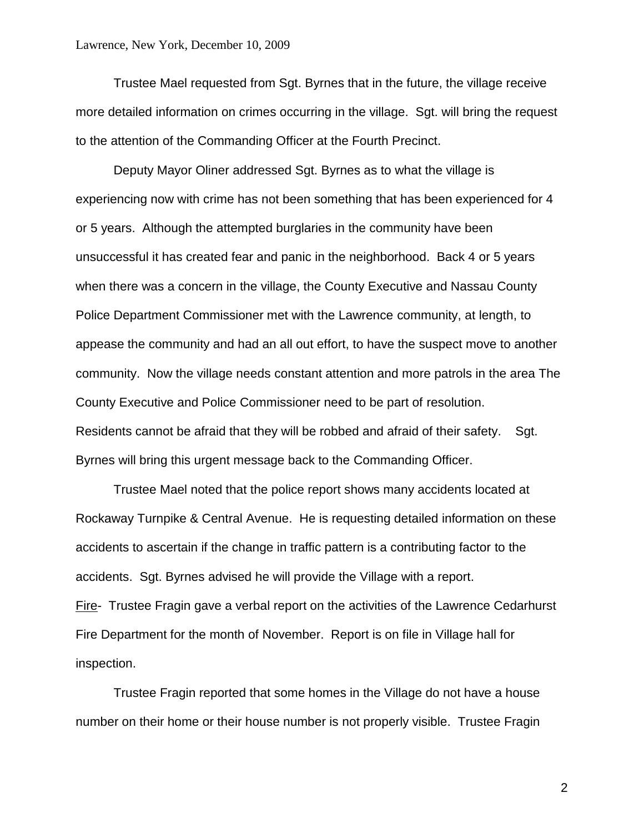Trustee Mael requested from Sgt. Byrnes that in the future, the village receive more detailed information on crimes occurring in the village. Sgt. will bring the request to the attention of the Commanding Officer at the Fourth Precinct.

Deputy Mayor Oliner addressed Sgt. Byrnes as to what the village is experiencing now with crime has not been something that has been experienced for 4 or 5 years. Although the attempted burglaries in the community have been unsuccessful it has created fear and panic in the neighborhood. Back 4 or 5 years when there was a concern in the village, the County Executive and Nassau County Police Department Commissioner met with the Lawrence community, at length, to appease the community and had an all out effort, to have the suspect move to another community. Now the village needs constant attention and more patrols in the area The County Executive and Police Commissioner need to be part of resolution. Residents cannot be afraid that they will be robbed and afraid of their safety. Sgt. Byrnes will bring this urgent message back to the Commanding Officer.

Trustee Mael noted that the police report shows many accidents located at Rockaway Turnpike & Central Avenue. He is requesting detailed information on these accidents to ascertain if the change in traffic pattern is a contributing factor to the accidents. Sgt. Byrnes advised he will provide the Village with a report. Fire- Trustee Fragin gave a verbal report on the activities of the Lawrence Cedarhurst Fire Department for the month of November. Report is on file in Village hall for inspection.

Trustee Fragin reported that some homes in the Village do not have a house number on their home or their house number is not properly visible. Trustee Fragin

2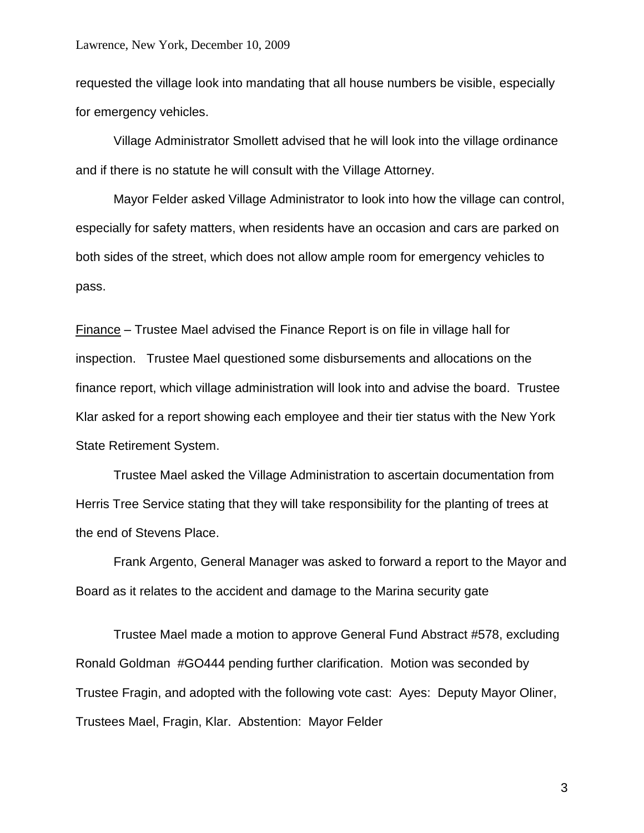#### Lawrence, New York, December 10, 2009

requested the village look into mandating that all house numbers be visible, especially for emergency vehicles.

Village Administrator Smollett advised that he will look into the village ordinance and if there is no statute he will consult with the Village Attorney.

Mayor Felder asked Village Administrator to look into how the village can control, especially for safety matters, when residents have an occasion and cars are parked on both sides of the street, which does not allow ample room for emergency vehicles to pass.

Finance – Trustee Mael advised the Finance Report is on file in village hall for inspection. Trustee Mael questioned some disbursements and allocations on the finance report, which village administration will look into and advise the board. Trustee Klar asked for a report showing each employee and their tier status with the New York State Retirement System.

Trustee Mael asked the Village Administration to ascertain documentation from Herris Tree Service stating that they will take responsibility for the planting of trees at the end of Stevens Place.

Frank Argento, General Manager was asked to forward a report to the Mayor and Board as it relates to the accident and damage to the Marina security gate

Trustee Mael made a motion to approve General Fund Abstract #578, excluding Ronald Goldman #GO444 pending further clarification. Motion was seconded by Trustee Fragin, and adopted with the following vote cast: Ayes: Deputy Mayor Oliner, Trustees Mael, Fragin, Klar. Abstention: Mayor Felder

3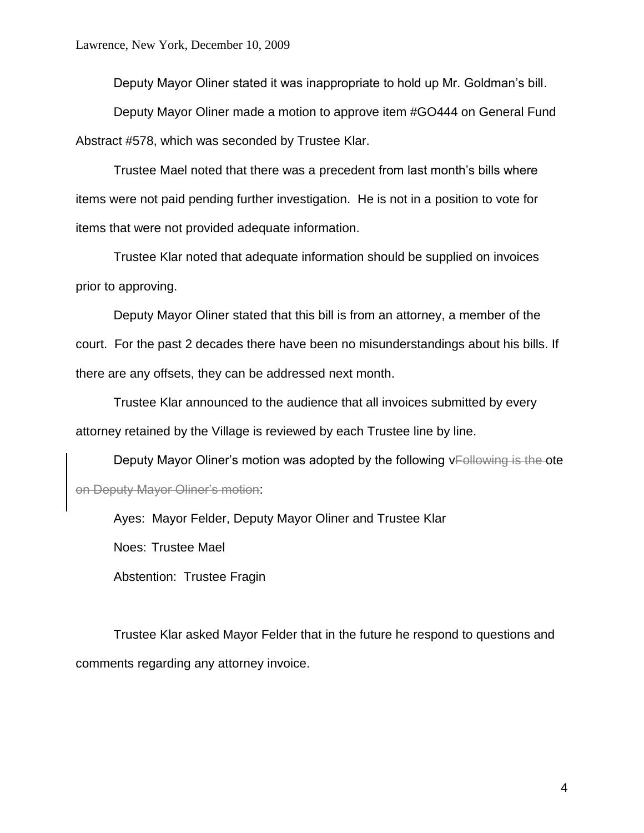Deputy Mayor Oliner stated it was inappropriate to hold up Mr. Goldman's bill.

Deputy Mayor Oliner made a motion to approve item #GO444 on General Fund Abstract #578, which was seconded by Trustee Klar.

Trustee Mael noted that there was a precedent from last month's bills where items were not paid pending further investigation. He is not in a position to vote for items that were not provided adequate information.

Trustee Klar noted that adequate information should be supplied on invoices prior to approving.

Deputy Mayor Oliner stated that this bill is from an attorney, a member of the court. For the past 2 decades there have been no misunderstandings about his bills. If there are any offsets, they can be addressed next month.

Trustee Klar announced to the audience that all invoices submitted by every attorney retained by the Village is reviewed by each Trustee line by line.

Deputy Mayor Oliner's motion was adopted by the following vEollowing is the ote on Deputy Mayor Oliner's motion:

Ayes: Mayor Felder, Deputy Mayor Oliner and Trustee Klar

Noes: Trustee Mael

Abstention: Trustee Fragin

Trustee Klar asked Mayor Felder that in the future he respond to questions and comments regarding any attorney invoice.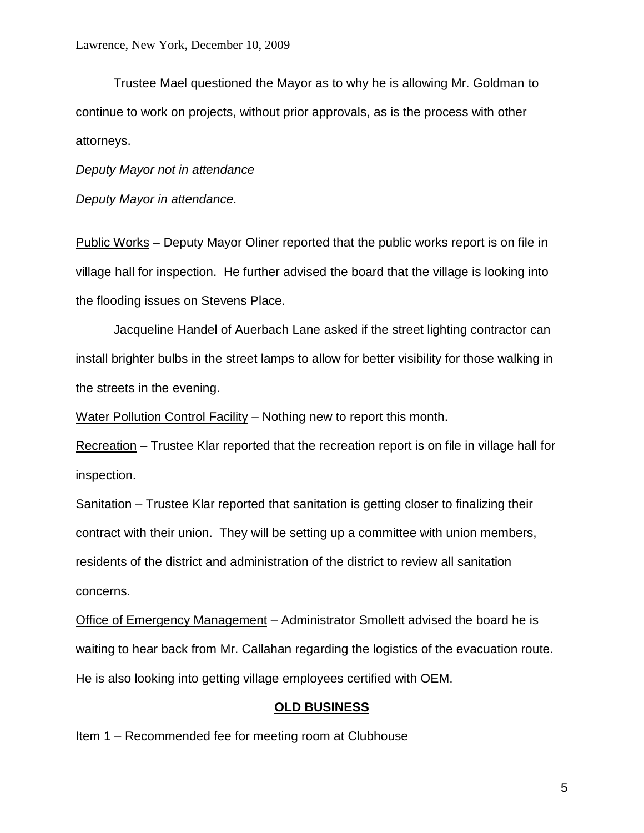Trustee Mael questioned the Mayor as to why he is allowing Mr. Goldman to continue to work on projects, without prior approvals, as is the process with other attorneys.

*Deputy Mayor not in attendance*

*Deputy Mayor in attendance.*

Public Works – Deputy Mayor Oliner reported that the public works report is on file in village hall for inspection. He further advised the board that the village is looking into the flooding issues on Stevens Place.

Jacqueline Handel of Auerbach Lane asked if the street lighting contractor can install brighter bulbs in the street lamps to allow for better visibility for those walking in the streets in the evening.

Water Pollution Control Facility – Nothing new to report this month.

Recreation – Trustee Klar reported that the recreation report is on file in village hall for inspection.

Sanitation – Trustee Klar reported that sanitation is getting closer to finalizing their contract with their union. They will be setting up a committee with union members, residents of the district and administration of the district to review all sanitation concerns.

Office of Emergency Management – Administrator Smollett advised the board he is waiting to hear back from Mr. Callahan regarding the logistics of the evacuation route. He is also looking into getting village employees certified with OEM.

### **OLD BUSINESS**

Item 1 – Recommended fee for meeting room at Clubhouse

5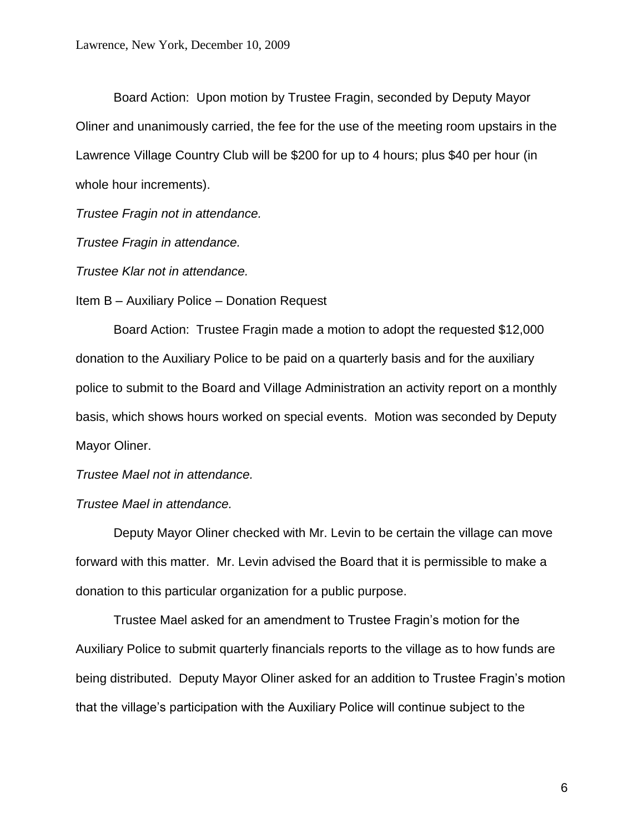Board Action: Upon motion by Trustee Fragin, seconded by Deputy Mayor Oliner and unanimously carried, the fee for the use of the meeting room upstairs in the Lawrence Village Country Club will be \$200 for up to 4 hours; plus \$40 per hour (in whole hour increments).

*Trustee Fragin not in attendance.*

*Trustee Fragin in attendance.*

*Trustee Klar not in attendance.*

Item B – Auxiliary Police – Donation Request

Board Action: Trustee Fragin made a motion to adopt the requested \$12,000 donation to the Auxiliary Police to be paid on a quarterly basis and for the auxiliary police to submit to the Board and Village Administration an activity report on a monthly basis, which shows hours worked on special events. Motion was seconded by Deputy Mayor Oliner.

*Trustee Mael not in attendance.*

#### *Trustee Mael in attendance.*

Deputy Mayor Oliner checked with Mr. Levin to be certain the village can move forward with this matter. Mr. Levin advised the Board that it is permissible to make a donation to this particular organization for a public purpose.

Trustee Mael asked for an amendment to Trustee Fragin's motion for the Auxiliary Police to submit quarterly financials reports to the village as to how funds are being distributed. Deputy Mayor Oliner asked for an addition to Trustee Fragin's motion that the village's participation with the Auxiliary Police will continue subject to the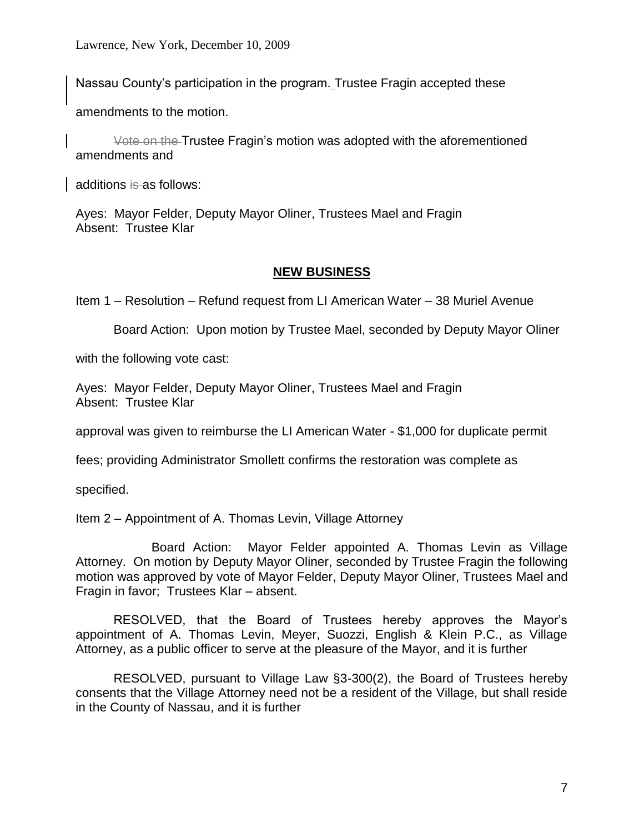Nassau County's participation in the program. Trustee Fragin accepted these

amendments to the motion.

Vote on the Trustee Fragin's motion was adopted with the aforementioned amendments and

additions is as follows:

Ayes: Mayor Felder, Deputy Mayor Oliner, Trustees Mael and Fragin Absent: Trustee Klar

# **NEW BUSINESS**

Item 1 – Resolution – Refund request from LI American Water – 38 Muriel Avenue

Board Action: Upon motion by Trustee Mael, seconded by Deputy Mayor Oliner

with the following vote cast:

Ayes: Mayor Felder, Deputy Mayor Oliner, Trustees Mael and Fragin Absent: Trustee Klar

approval was given to reimburse the LI American Water - \$1,000 for duplicate permit

fees; providing Administrator Smollett confirms the restoration was complete as

specified.

Item 2 – Appointment of A. Thomas Levin, Village Attorney

Board Action: Mayor Felder appointed A. Thomas Levin as Village Attorney. On motion by Deputy Mayor Oliner, seconded by Trustee Fragin the following motion was approved by vote of Mayor Felder, Deputy Mayor Oliner, Trustees Mael and Fragin in favor; Trustees Klar – absent.

RESOLVED, that the Board of Trustees hereby approves the Mayor's appointment of A. Thomas Levin, Meyer, Suozzi, English & Klein P.C., as Village Attorney, as a public officer to serve at the pleasure of the Mayor, and it is further

RESOLVED, pursuant to Village Law §3-300(2), the Board of Trustees hereby consents that the Village Attorney need not be a resident of the Village, but shall reside in the County of Nassau, and it is further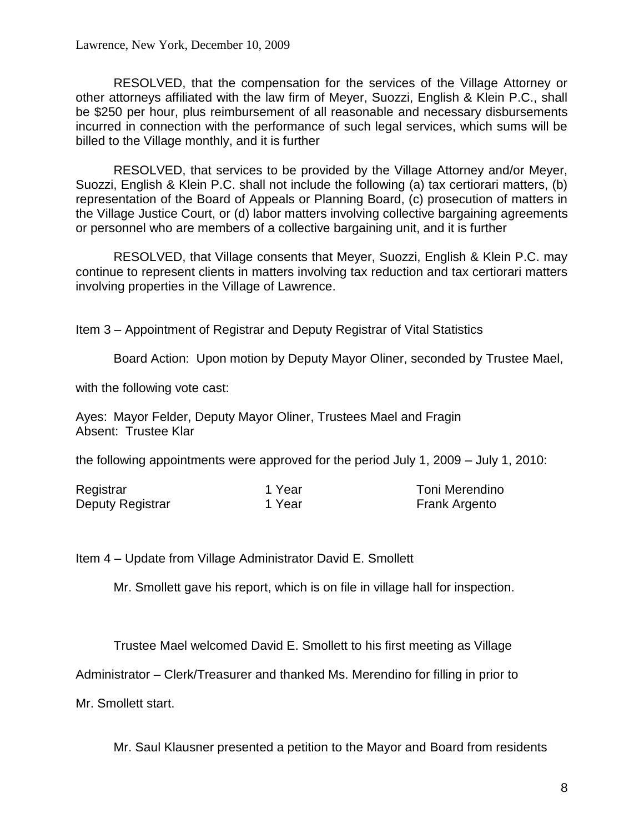RESOLVED, that the compensation for the services of the Village Attorney or other attorneys affiliated with the law firm of Meyer, Suozzi, English & Klein P.C., shall be \$250 per hour, plus reimbursement of all reasonable and necessary disbursements incurred in connection with the performance of such legal services, which sums will be billed to the Village monthly, and it is further

RESOLVED, that services to be provided by the Village Attorney and/or Meyer, Suozzi, English & Klein P.C. shall not include the following (a) tax certiorari matters, (b) representation of the Board of Appeals or Planning Board, (c) prosecution of matters in the Village Justice Court, or (d) labor matters involving collective bargaining agreements or personnel who are members of a collective bargaining unit, and it is further

RESOLVED, that Village consents that Meyer, Suozzi, English & Klein P.C. may continue to represent clients in matters involving tax reduction and tax certiorari matters involving properties in the Village of Lawrence.

Item 3 – Appointment of Registrar and Deputy Registrar of Vital Statistics

Board Action: Upon motion by Deputy Mayor Oliner, seconded by Trustee Mael,

with the following vote cast:

Ayes: Mayor Felder, Deputy Mayor Oliner, Trustees Mael and Fragin Absent: Trustee Klar

the following appointments were approved for the period July 1, 2009 – July 1, 2010:

| Registrar        | 1 Year | Toni Merendino       |
|------------------|--------|----------------------|
| Deputy Registrar | 1 Year | <b>Frank Argento</b> |

Item 4 – Update from Village Administrator David E. Smollett

Mr. Smollett gave his report, which is on file in village hall for inspection.

Trustee Mael welcomed David E. Smollett to his first meeting as Village

Administrator – Clerk/Treasurer and thanked Ms. Merendino for filling in prior to

Mr. Smollett start.

Mr. Saul Klausner presented a petition to the Mayor and Board from residents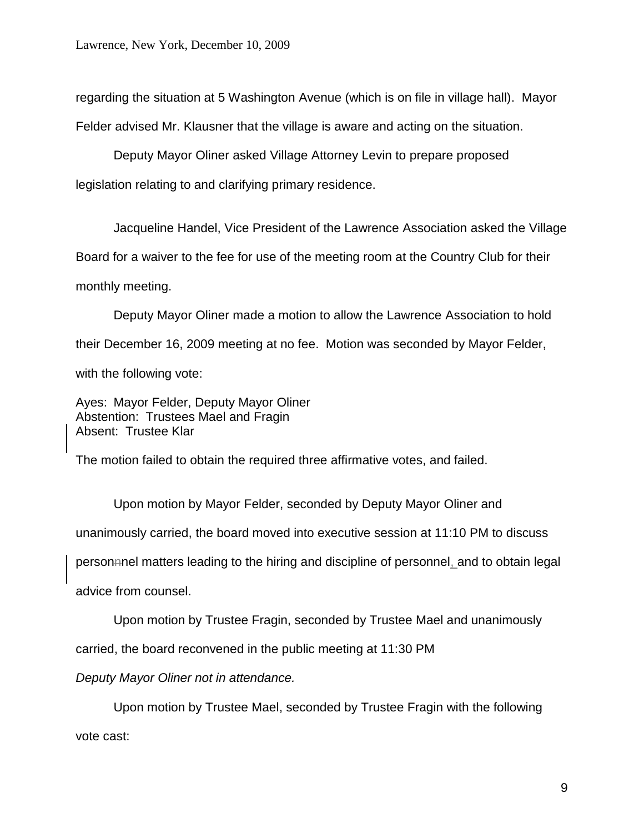regarding the situation at 5 Washington Avenue (which is on file in village hall). Mayor Felder advised Mr. Klausner that the village is aware and acting on the situation.

Deputy Mayor Oliner asked Village Attorney Levin to prepare proposed legislation relating to and clarifying primary residence.

Jacqueline Handel, Vice President of the Lawrence Association asked the Village Board for a waiver to the fee for use of the meeting room at the Country Club for their monthly meeting.

Deputy Mayor Oliner made a motion to allow the Lawrence Association to hold their December 16, 2009 meeting at no fee. Motion was seconded by Mayor Felder, with the following vote:

Ayes: Mayor Felder, Deputy Mayor Oliner Abstention: Trustees Mael and Fragin Absent: Trustee Klar

The motion failed to obtain the required three affirmative votes, and failed.

Upon motion by Mayor Felder, seconded by Deputy Mayor Oliner and unanimously carried, the board moved into executive session at 11:10 PM to discuss personnnel matters leading to the hiring and discipline of personnel, and to obtain legal advice from counsel.

Upon motion by Trustee Fragin, seconded by Trustee Mael and unanimously

carried, the board reconvened in the public meeting at 11:30 PM

*Deputy Mayor Oliner not in attendance.*

Upon motion by Trustee Mael, seconded by Trustee Fragin with the following vote cast: